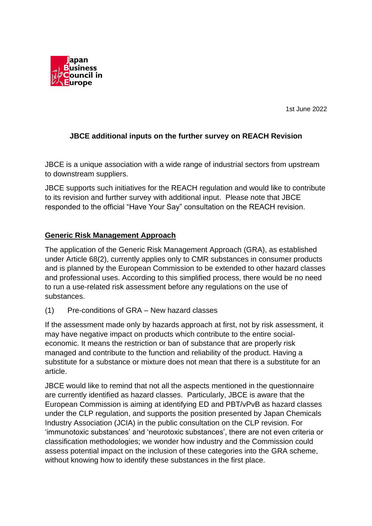

1st June 2022

## **JBCE additional inputs on the further survey on REACH Revision**

JBCE is a unique association with a wide range of industrial sectors from upstream to downstream suppliers.

JBCE supports such initiatives for the REACH regulation and would like to contribute to its revision and further survey with additional input. Please note that JBCE responded to the official "Have Your Say" consultation on the REACH revision.

## **Generic Risk Management Approach**

The application of the Generic Risk Management Approach (GRA), as established under Article 68(2), currently applies only to CMR substances in consumer products and is planned by the European Commission to be extended to other hazard classes and professional uses. According to this simplified process, there would be no need to run a use-related risk assessment before any regulations on the use of substances.

(1) Pre-conditions of GRA – New hazard classes

If the assessment made only by hazards approach at first, not by risk assessment, it may have negative impact on products which contribute to the entire socialeconomic. It means the restriction or ban of substance that are properly risk managed and contribute to the function and reliability of the product. Having a substitute for a substance or mixture does not mean that there is a substitute for an article.

JBCE would like to remind that not all the aspects mentioned in the questionnaire are currently identified as hazard classes. Particularly, JBCE is aware that the European Commission is aiming at identifying ED and PBT/vPvB as hazard classes under the CLP regulation, and supports the position presented by Japan Chemicals Industry Association (JCIA) in the public consultation on the CLP revision. For 'immunotoxic substances' and 'neurotoxic substances', there are not even criteria or classification methodologies; we wonder how industry and the Commission could assess potential impact on the inclusion of these categories into the GRA scheme, without knowing how to identify these substances in the first place.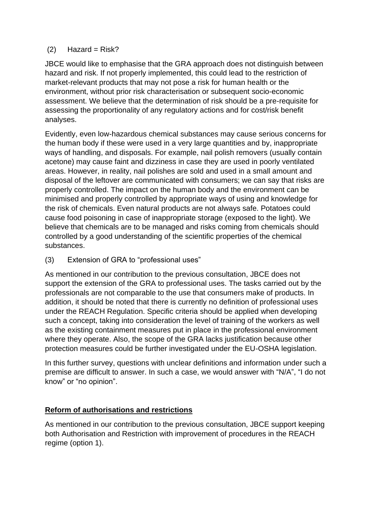## $(2)$  Hazard = Risk?

JBCE would like to emphasise that the GRA approach does not distinguish between hazard and risk. If not properly implemented, this could lead to the restriction of market-relevant products that may not pose a risk for human health or the environment, without prior risk characterisation or subsequent socio-economic assessment. We believe that the determination of risk should be a pre-requisite for assessing the proportionality of any regulatory actions and for cost/risk benefit analyses.

Evidently, even low-hazardous chemical substances may cause serious concerns for the human body if these were used in a very large quantities and by, inappropriate ways of handling, and disposals. For example, nail polish removers (usually contain acetone) may cause faint and dizziness in case they are used in poorly ventilated areas. However, in reality, nail polishes are sold and used in a small amount and disposal of the leftover are communicated with consumers; we can say that risks are properly controlled. The impact on the human body and the environment can be minimised and properly controlled by appropriate ways of using and knowledge for the risk of chemicals. Even natural products are not always safe. Potatoes could cause food poisoning in case of inappropriate storage (exposed to the light). We believe that chemicals are to be managed and risks coming from chemicals should controlled by a good understanding of the scientific properties of the chemical substances.

(3) Extension of GRA to "professional uses"

As mentioned in our contribution to the previous consultation, JBCE does not support the extension of the GRA to professional uses. The tasks carried out by the professionals are not comparable to the use that consumers make of products. In addition, it should be noted that there is currently no definition of professional uses under the REACH Regulation. Specific criteria should be applied when developing such a concept, taking into consideration the level of training of the workers as well as the existing containment measures put in place in the professional environment where they operate. Also, the scope of the GRA lacks justification because other protection measures could be further investigated under the EU-OSHA legislation.

In this further survey, questions with unclear definitions and information under such a premise are difficult to answer. In such a case, we would answer with "N/A", "I do not know" or "no opinion".

## **Reform of authorisations and restrictions**

As mentioned in our contribution to the previous consultation, JBCE support keeping both Authorisation and Restriction with improvement of procedures in the REACH regime (option 1).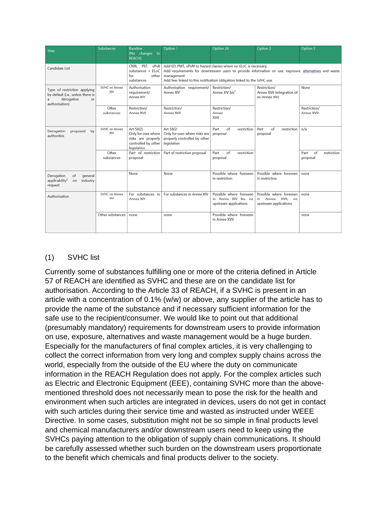| Step                                                                                                    | <b>Substances</b>           | <b>Baseline</b><br>(No changes to<br><b>REACH)</b>                                           | Option 1                                                                                                                                                                                                                                                         | Option 2A                                                                | Option 2                                                              | Option 3                              |
|---------------------------------------------------------------------------------------------------------|-----------------------------|----------------------------------------------------------------------------------------------|------------------------------------------------------------------------------------------------------------------------------------------------------------------------------------------------------------------------------------------------------------------|--------------------------------------------------------------------------|-----------------------------------------------------------------------|---------------------------------------|
| Candidate List                                                                                          |                             | PBT,<br>CMR.<br>vPvB<br>substances + ELoC<br>for<br>other<br>substances                      | Add ED, PMT, vPvM to hazard classes where no ELoC is necessary;<br>Add requirements for downstream users to provide information on use, exposure, alternatives and waste<br>management<br>Add fees linked to this notification obligation linked to the SVHC use |                                                                          |                                                                       |                                       |
| Type of restriction applying<br>by default (i.e., unless there is<br>derogation<br>or<br>authorisation) | SVHC on Annex<br><b>XIV</b> | Authorisation<br>requirement/<br>Annex XIV                                                   | Authorisation requirement/<br>Annex XIV                                                                                                                                                                                                                          | Restriction/<br>Annex XIV bis <sup>1</sup>                               | Restriction/<br>Annex XVII (integration of<br>ex-Annex XIV)           | None                                  |
|                                                                                                         | Other<br>substances         | Restriction/<br>Annex XVII                                                                   | Restriction/<br>Annex XVII                                                                                                                                                                                                                                       | Restriction/<br>Annex<br>XVII                                            |                                                                       | Restriction/<br>Annex XVII            |
| Derogation<br>proposed<br>by<br>authorities                                                             | SVHC on Annex<br>XIV        | Art 58(2)<br>Only for uses where<br>risks are properly<br>controlled by other<br>legislation | Art 58(2)<br>Only for uses where risks are<br>properly controlled by other<br>legislation                                                                                                                                                                        | of<br>restriction<br>Part<br>proposal                                    | Part<br>restriction<br>of<br>proposal                                 | n/a                                   |
|                                                                                                         | Other<br>substances         | Part of restriction<br>proposal                                                              | Part of restriction proposal                                                                                                                                                                                                                                     | of<br>restriction<br>Part<br>proposal                                    |                                                                       | Part<br>of<br>restriction<br>proposal |
| Derogation<br>of<br>general<br>applicability <sup>2</sup><br>industry<br>on<br>request                  |                             | None                                                                                         | None                                                                                                                                                                                                                                                             | Possible where foreseen<br>in restriction                                | Possible where foreseen<br>in restriction                             | none                                  |
| Authorisation                                                                                           | SVHC on Annex<br><b>XIV</b> | For substances in<br>Annex XIV                                                               | For substances in Annex XIV                                                                                                                                                                                                                                      | Possible where foreseen<br>in Annex XIV bis, no<br>upstream applications | Possible where foreseen<br>in Annex XVII, no<br>upstream applications | none                                  |
|                                                                                                         | Other substances            | none                                                                                         | none                                                                                                                                                                                                                                                             | Possible where foreseen<br>in Annex XVII                                 |                                                                       | none                                  |

# (1) SVHC list

Currently some of substances fulfilling one or more of the criteria defined in Article 57 of REACH are identified as SVHC and these are on the candidate list for authorisation. According to the Article 33 of REACH, if a SVHC is present in an article with a concentration of 0.1% (w/w) or above, any supplier of the article has to provide the name of the substance and if necessary sufficient information for the safe use to the recipient/consumer. We would like to point out that additional (presumably mandatory) requirements for downstream users to provide information on use, exposure, alternatives and waste management would be a huge burden. Especially for the manufacturers of final complex articles, it is very challenging to collect the correct information from very long and complex supply chains across the world, especially from the outside of the EU where the duty on communicate information in the REACH Regulation does not apply. For the complex articles such as Electric and Electronic Equipment (EEE), containing SVHC more than the abovementioned threshold does not necessarily mean to pose the risk for the health and environment when such articles are integrated in devices, users do not get in contact with such articles during their service time and wasted as instructed under WEEE Directive. In some cases, substitution might not be so simple in final products level and chemical manufacturers and/or downstream users need to keep using the SVHCs paying attention to the obligation of supply chain communications. It should be carefully assessed whether such burden on the downstream users proportionate to the benefit which chemicals and final products deliver to the society.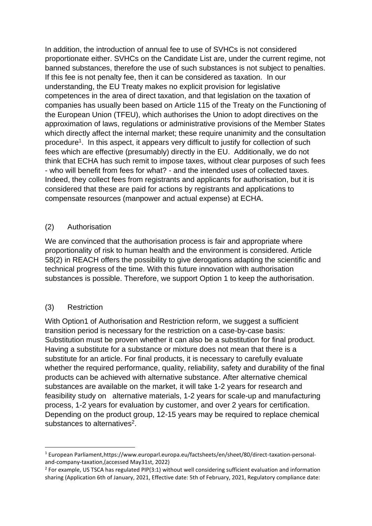In addition, the introduction of annual fee to use of SVHCs is not considered proportionate either. SVHCs on the Candidate List are, under the current regime, not banned substances, therefore the use of such substances is not subject to penalties. If this fee is not penalty fee, then it can be considered as taxation. In our understanding, the EU Treaty makes no explicit provision for legislative competences in the area of direct taxation, and that legislation on the taxation of companies has usually been based on Article 115 of the Treaty on the Functioning of the European Union (TFEU), which authorises the Union to adopt directives on the approximation of laws, regulations or administrative provisions of the Member States which directly affect the internal market; these require unanimity and the consultation procedure<sup>1</sup>. In this aspect, it appears very difficult to justify for collection of such fees which are effective (presumably) directly in the EU. Additionally, we do not think that ECHA has such remit to impose taxes, without clear purposes of such fees - who will benefit from fees for what? - and the intended uses of collected taxes. Indeed, they collect fees from registrants and applicants for authorisation, but it is considered that these are paid for actions by registrants and applications to compensate resources (manpower and actual expense) at ECHA.

## (2) Authorisation

We are convinced that the authorisation process is fair and appropriate where proportionality of risk to human health and the environment is considered. Article 58(2) in REACH offers the possibility to give derogations adapting the scientific and technical progress of the time. With this future innovation with authorisation substances is possible. Therefore, we support Option 1 to keep the authorisation.

## (3) Restriction

With Option1 of Authorisation and Restriction reform, we suggest a sufficient transition period is necessary for the restriction on a case-by-case basis: Substitution must be proven whether it can also be a substitution for final product. Having a substitute for a substance or mixture does not mean that there is a substitute for an article. For final products, it is necessary to carefully evaluate whether the required performance, quality, reliability, safety and durability of the final products can be achieved with alternative substance. After alternative chemical substances are available on the market, it will take 1-2 years for research and feasibility study on alternative materials, 1-2 years for scale-up and manufacturing process, 1-2 years for evaluation by customer, and over 2 years for certification. Depending on the product group, 12-15 years may be required to replace chemical substances to alternatives<sup>2</sup>.

<sup>1</sup> European Parliament,https://www.europarl.europa.eu/factsheets/en/sheet/80/direct-taxation-personaland-company-taxation,(accessed May31st, 2022)

 $2$  For example, US TSCA has regulated PIP(3:1) without well considering sufficient evaluation and information sharing (Application 6th of January, 2021, Effective date: 5th of February, 2021, Regulatory compliance date: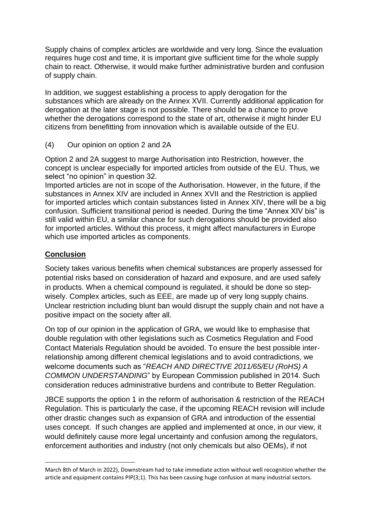Supply chains of complex articles are worldwide and very long. Since the evaluation requires huge cost and time, it is important give sufficient time for the whole supply chain to react. Otherwise, it would make further administrative burden and confusion of supply chain.

In addition, we suggest establishing a process to apply derogation for the substances which are already on the Annex XVII. Currently additional application for derogation at the later stage is not possible. There should be a chance to prove whether the derogations correspond to the state of art, otherwise it might hinder EU citizens from benefitting from innovation which is available outside of the EU.

(4) Our opinion on option 2 and 2A

Option 2 and 2A suggest to marge Authorisation into Restriction, however, the concept is unclear especially for imported articles from outside of the EU. Thus, we select "no opinion" in question 32.

Imported articles are not in scope of the Authorisation. However, in the future, if the substances in Annex XIV are included in Annex XVII and the Restriction is applied for imported articles which contain substances listed in Annex XIV, there will be a big confusion. Sufficient transitional period is needed. During the time "Annex XIV bis" is still valid within EU, a similar chance for such derogations should be provided also for imported articles. Without this process, it might affect manufacturers in Europe which use imported articles as components.

#### **Conclusion**

Society takes various benefits when chemical substances are properly assessed for potential risks based on consideration of hazard and exposure, and are used safely in products. When a chemical compound is regulated, it should be done so stepwisely. Complex articles, such as EEE, are made up of very long supply chains. Unclear restriction including blunt ban would disrupt the supply chain and not have a positive impact on the society after all.

On top of our opinion in the application of GRA, we would like to emphasise that double regulation with other legislations such as Cosmetics Regulation and Food Contact Materials Regulation should be avoided. To ensure the best possible interrelationship among different chemical legislations and to avoid contradictions, we welcome documents such as "*REACH AND DIRECTIVE 2011/65/EU (RoHS) A COMMON UNDERSTANDING*" by European Commission published in 2014. Such consideration reduces administrative burdens and contribute to Better Regulation.

JBCE supports the option 1 in the reform of authorisation & restriction of the REACH Regulation. This is particularly the case, if the upcoming REACH revision will include other drastic changes such as expansion of GRA and introduction of the essential uses concept. If such changes are applied and implemented at once, in our view, it would definitely cause more legal uncertainty and confusion among the regulators, enforcement authorities and industry (not only chemicals but also OEMs), if not

March 8th of March in 2022), Downstream had to take immediate action without well recognition whether the article and equipment contains PIP(3;1). This has been causing huge confusion at many industrial sectors.